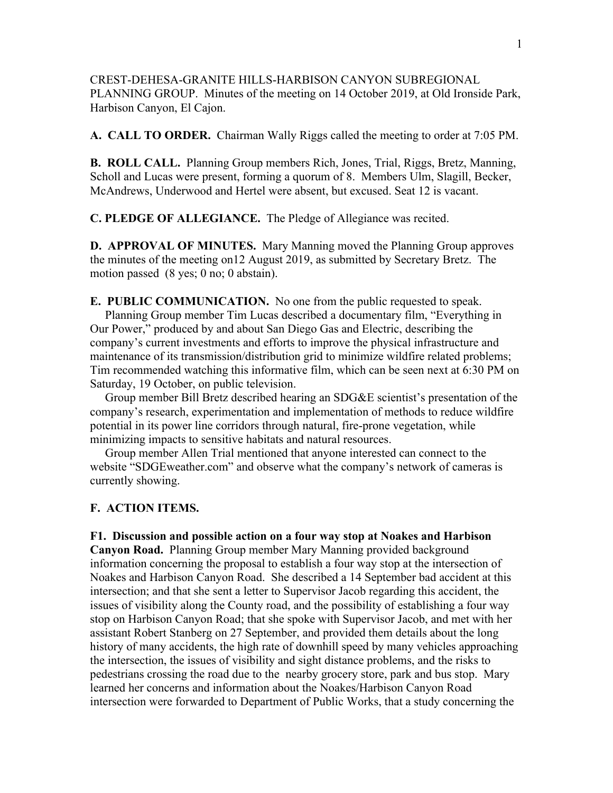CREST-DEHESA-GRANITE HILLS-HARBISON CANYON SUBREGIONAL PLANNING GROUP. Minutes of the meeting on 14 October 2019, at Old Ironside Park, Harbison Canyon, El Cajon.

**A. CALL TO ORDER.** Chairman Wally Riggs called the meeting to order at 7:05 PM.

**B. ROLL CALL.** Planning Group members Rich, Jones, Trial, Riggs, Bretz, Manning, Scholl and Lucas were present, forming a quorum of 8. Members Ulm, Slagill, Becker, McAndrews, Underwood and Hertel were absent, but excused. Seat 12 is vacant.

**C. PLEDGE OF ALLEGIANCE.** The Pledge of Allegiance was recited.

**D. APPROVAL OF MINUTES.** Mary Manning moved the Planning Group approves the minutes of the meeting on12 August 2019, as submitted by Secretary Bretz. The motion passed (8 yes; 0 no; 0 abstain).

**E. PUBLIC COMMUNICATION.** No one from the public requested to speak. Planning Group member Tim Lucas described a documentary film, "Everything in Our Power," produced by and about San Diego Gas and Electric, describing the company's current investments and efforts to improve the physical infrastructure and maintenance of its transmission/distribution grid to minimize wildfire related problems; Tim recommended watching this informative film, which can be seen next at 6:30 PM on Saturday, 19 October, on public television.

 Group member Bill Bretz described hearing an SDG&E scientist's presentation of the company's research, experimentation and implementation of methods to reduce wildfire potential in its power line corridors through natural, fire-prone vegetation, while minimizing impacts to sensitive habitats and natural resources.

 Group member Allen Trial mentioned that anyone interested can connect to the website "SDGEweather.com" and observe what the company's network of cameras is currently showing.

## **F. ACTION ITEMS.**

**F1. Discussion and possible action on a four way stop at Noakes and Harbison** 

**Canyon Road.** Planning Group member Mary Manning provided background information concerning the proposal to establish a four way stop at the intersection of Noakes and Harbison Canyon Road. She described a 14 September bad accident at this intersection; and that she sent a letter to Supervisor Jacob regarding this accident, the issues of visibility along the County road, and the possibility of establishing a four way stop on Harbison Canyon Road; that she spoke with Supervisor Jacob, and met with her assistant Robert Stanberg on 27 September, and provided them details about the long history of many accidents, the high rate of downhill speed by many vehicles approaching the intersection, the issues of visibility and sight distance problems, and the risks to pedestrians crossing the road due to the nearby grocery store, park and bus stop. Mary learned her concerns and information about the Noakes/Harbison Canyon Road intersection were forwarded to Department of Public Works, that a study concerning the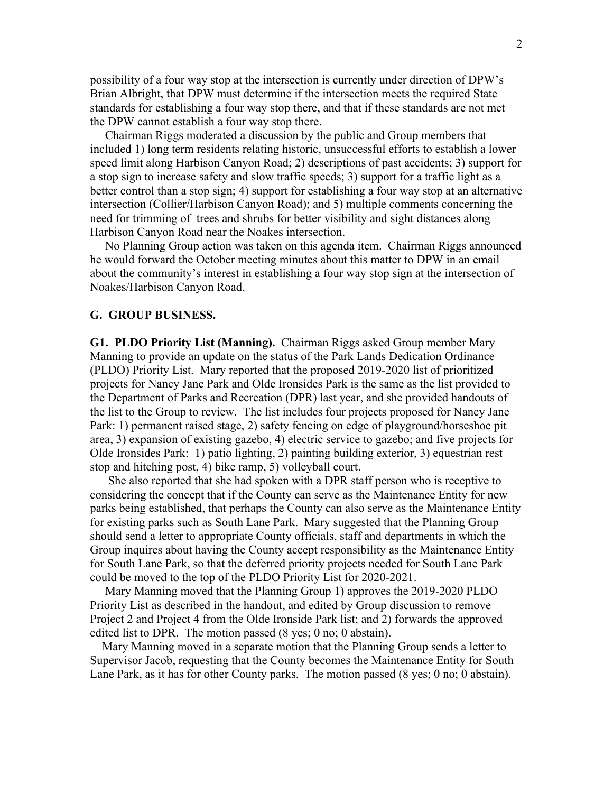possibility of a four way stop at the intersection is currently under direction of DPW's Brian Albright, that DPW must determine if the intersection meets the required State standards for establishing a four way stop there, and that if these standards are not met the DPW cannot establish a four way stop there.

 Chairman Riggs moderated a discussion by the public and Group members that included 1) long term residents relating historic, unsuccessful efforts to establish a lower speed limit along Harbison Canyon Road; 2) descriptions of past accidents; 3) support for a stop sign to increase safety and slow traffic speeds; 3) support for a traffic light as a better control than a stop sign; 4) support for establishing a four way stop at an alternative intersection (Collier/Harbison Canyon Road); and 5) multiple comments concerning the need for trimming of trees and shrubs for better visibility and sight distances along Harbison Canyon Road near the Noakes intersection.

 No Planning Group action was taken on this agenda item. Chairman Riggs announced he would forward the October meeting minutes about this matter to DPW in an email about the community's interest in establishing a four way stop sign at the intersection of Noakes/Harbison Canyon Road.

## **G. GROUP BUSINESS.**

**G1. PLDO Priority List (Manning).** Chairman Riggs asked Group member Mary Manning to provide an update on the status of the Park Lands Dedication Ordinance (PLDO) Priority List. Mary reported that the proposed 2019-2020 list of prioritized projects for Nancy Jane Park and Olde Ironsides Park is the same as the list provided to the Department of Parks and Recreation (DPR) last year, and she provided handouts of the list to the Group to review. The list includes four projects proposed for Nancy Jane Park: 1) permanent raised stage, 2) safety fencing on edge of playground/horseshoe pit area, 3) expansion of existing gazebo, 4) electric service to gazebo; and five projects for Olde Ironsides Park: 1) patio lighting, 2) painting building exterior, 3) equestrian rest stop and hitching post, 4) bike ramp, 5) volleyball court.

 She also reported that she had spoken with a DPR staff person who is receptive to considering the concept that if the County can serve as the Maintenance Entity for new parks being established, that perhaps the County can also serve as the Maintenance Entity for existing parks such as South Lane Park. Mary suggested that the Planning Group should send a letter to appropriate County officials, staff and departments in which the Group inquires about having the County accept responsibility as the Maintenance Entity for South Lane Park, so that the deferred priority projects needed for South Lane Park could be moved to the top of the PLDO Priority List for 2020-2021.

 Mary Manning moved that the Planning Group 1) approves the 2019-2020 PLDO Priority List as described in the handout, and edited by Group discussion to remove Project 2 and Project 4 from the Olde Ironside Park list; and 2) forwards the approved edited list to DPR. The motion passed (8 yes; 0 no; 0 abstain).

 Mary Manning moved in a separate motion that the Planning Group sends a letter to Supervisor Jacob, requesting that the County becomes the Maintenance Entity for South Lane Park, as it has for other County parks. The motion passed (8 yes; 0 no; 0 abstain).